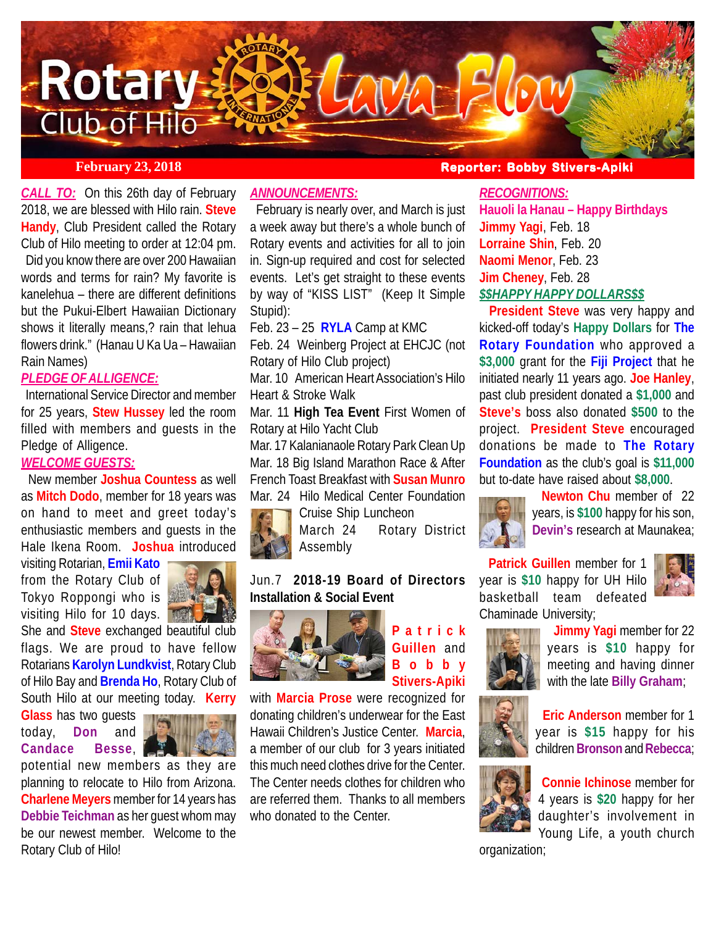

*CALL TO:* On this 26th day of February 2018, we are blessed with Hilo rain. **Steve Handy**, Club President called the Rotary Club of Hilo meeting to order at 12:04 pm. Did you know there are over 200 Hawaiian words and terms for rain? My favorite is kanelehua – there are different definitions but the Pukui-Elbert Hawaiian Dictionary shows it literally means,? rain that lehua flowers drink." (Hanau U Ka Ua – Hawaiian Rain Names)

## *PLEDGE OF ALLIGENCE:*

 International Service Director and member for 25 years, **Stew Hussey** led the room filled with members and guests in the Pledge of Alligence.

## *WELCOME GUESTS:*

 New member **Joshua Countess** as well as **Mitch Dodo**, member for 18 years was on hand to meet and greet today's enthusiastic members and guests in the Hale Ikena Room. **Joshua** introduced

visiting Rotarian, **Emii Kato** from the Rotary Club of Tokyo Roppongi who is visiting Hilo for 10 days.



She and **Steve** exchanged beautiful club flags. We are proud to have fellow Rotarians **Karolyn Lundkvist**, Rotary Club of Hilo Bay and **Brenda Ho**, Rotary Club of South Hilo at our meeting today. **Kerry**

**Glass** has two guests today, **Don** and **Candace Besse**,



potential new members as they are planning to relocate to Hilo from Arizona. **Charlene Meyers** member for 14 years has **Debbie Teichman** as her guest whom may be our newest member. Welcome to the Rotary Club of Hilo!

## *ANNOUNCEMENTS:*

 February is nearly over, and March is just a week away but there's a whole bunch of Rotary events and activities for all to join in. Sign-up required and cost for selected events. Let's get straight to these events by way of "KISS LIST" (Keep It Simple Stupid):

Feb. 23 – 25 **RYLA** Camp at KMC

Feb. 24 Weinberg Project at EHCJC (not Rotary of Hilo Club project)

Mar. 10 American Heart Association's Hilo Heart & Stroke Walk

Mar. 11 **High Tea Event** First Women of Rotary at Hilo Yacht Club

Mar. 17 Kalanianaole Rotary Park Clean Up Mar. 18 Big Island Marathon Race & After French Toast Breakfast with **Susan Munro** Mar. 24 Hilo Medical Center Foundation



Cruise Ship Luncheon March 24 Rotary District Assembly

## Jun.7 **2018-19 Board of Directors Installation & Social Event**



**Patrick Guillen** and **Bobby Stivers-Apiki**

with **Marcia Prose** were recognized for donating children's underwear for the East Hawaii Children's Justice Center. **Marcia**, a member of our club for 3 years initiated this much need clothes drive for the Center. The Center needs clothes for children who are referred them. Thanks to all members who donated to the Center.

## **February 23, 2018 Reporter: Bobby Stivers-Apiki Bobby Stivers-Apiki**

## *RECOGNITIONS:*

**Hauoli la Hanau – Happy Birthdays Jimmy Yagi**, Feb. 18 **Lorraine Shin**, Feb. 20 **Naomi Menor**, Feb. 23 **Jim Cheney**, Feb. 28 *\$\$HAPPY HAPPY DOLLARS\$\$*

 **President Steve** was very happy and kicked-off today's **Happy Dollars** for **The Rotary Foundation** who approved a **\$3,000** grant for the **Fiji Project** that he initiated nearly 11 years ago. **Joe Hanley**, past club president donated a **\$1,000** and **Steve's** boss also donated **\$500** to the project. **President Steve** encouraged donations be made to **The Rotary Foundation** as the club's goal is **\$11,000** but to-date have raised about **\$8,000**.



 **Newton Chu** member of 22 years, is **\$100** happy for his son, **Devin's** research at Maunakea;

 **Patrick Guillen** member for 1 year is **\$10** happy for UH Hilo basketball team defeated Chaminade University;





**Jimmy Yagi member for 22** years is **\$10** happy for meeting and having dinner with the late **Billy Graham**;



 **Eric Anderson** member for 1 year is **\$15** happy for his children **Bronson** and **Rebecca**;



**Connie Ichinose** member for 4 years is **\$20** happy for her daughter's involvement in Young Life, a youth church

organization;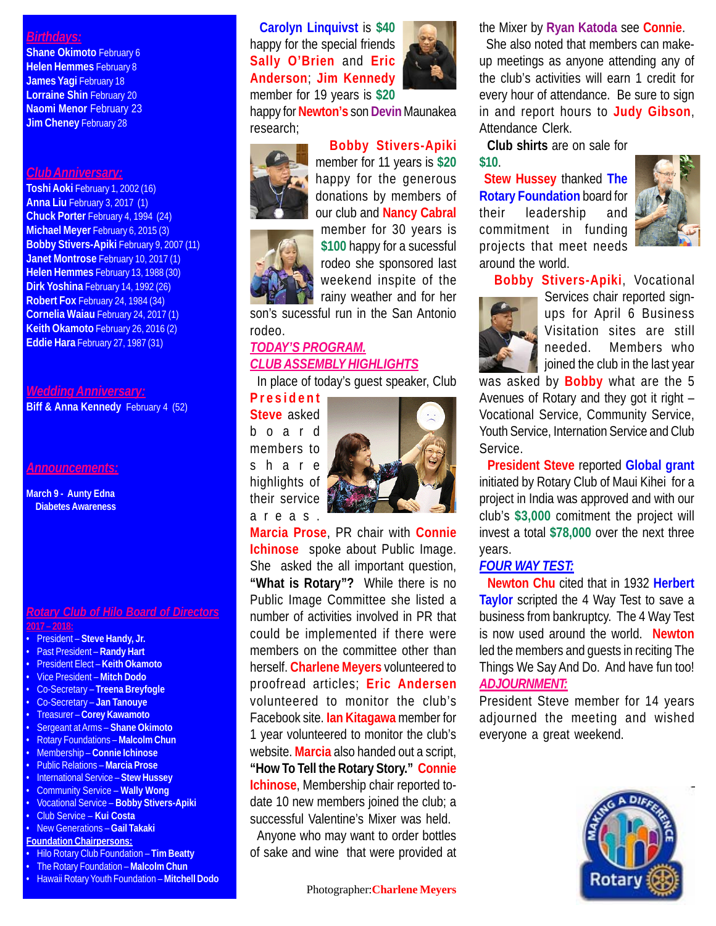## *Birthdays:*

**Shane Okimoto February 6 Helen Hemmes** February 8 **James Yagi February 18 Lorraine Shin** February 20 **Naomi Menor February 23 Jim Cheney February 28** 

#### *Club Anniversary:*

**Toshi Aoki** February 1, 2002 (16) **Anna Liu** February 3, 2017 (1) **Chuck Porter** February 4, 1994 (24) **Michael Meyer** February 6, 2015 (3) **Bobby Stivers-Apiki** February 9, 2007 (11) **Janet Montrose** February 10, 2017 (1) **Helen Hemmes** February 13, 1988 (30) **Dirk Yoshina** February 14, 1992 (26) **Robert Fox** February 24, 1984 (34) **Cornelia Waiau** February 24, 2017 (1) **Keith Okamoto** February 26, 2016 (2) **Eddie Hara** February 27, 1987 (31)

*Wedding Anniversary:*

**Biff & Anna Kennedy** February 4 (52)

*Announcements:*

**March 9 - Aunty Edna Diabetes Awareness**

### *Rotary Club of Hilo Board of Directors* **2017 – 2018:**

- President **Steve Handy, Jr.**
- Past President **Randy Hart**
- President Elect **Keith Okamoto**
- Vice President **Mitch Dodo**
- Co-Secretary **Treena Breyfogle**
- Co-Secretary **Jan Tanouye**
- Treasurer **Corey Kawamoto**
- Sergeant at Arms **Shane Okimoto**
- Rotary Foundations **Malcolm Chun**
- Membership **Connie Ichinose**
- Public Relations **Marcia Prose**
- International Service **Stew Hussey**
- Community Service **Wally Wong**
- Vocational Service **Bobby Stivers-Apiki**
- Club Service **Kui Costa** • New Generations – **Gail Takaki**
- **Foundation Chairpersons:**
- Hilo Rotary Club Foundation **Tim Beatty**
- The Rotary Foundation **Malcolm Chun**
- Hawaii Rotary Youth Foundation **Mitchell Dodo**

 **Carolyn Linquivst** is **\$40** happy for the special friends **Sally O'Brien** and **Eric Anderson**; **Jim Kennedy** member for 19 years is **\$20**



happy for **Newton's** son **Devin** Maunakea research;



 **Bobby Stivers-Apiki** member for 11 years is **\$20** happy for the generous donations by members of our club and **Nancy Cabral** member for 30 years is

**\$100** happy for a sucessful rodeo she sponsored last weekend inspite of the rainy weather and for her

son's sucessful run in the San Antonio rodeo.

# *TODAY'S PROGRAM. CLUB ASSEMBLY HIGHLIGHTS*

In place of today's guest speaker, Club

**President Steve** asked board

members to share highlights of their service areas.



**Marcia Prose**, PR chair with **Connie Ichinose** spoke about Public Image. She asked the all important question, **"What is Rotary"?** While there is no Public Image Committee she listed a number of activities involved in PR that could be implemented if there were members on the committee other than herself. **Charlene Meyers** volunteered to proofread articles; **Eric Andersen** volunteered to monitor the club's Facebook site. **Ian Kitagawa** member for 1 year volunteered to monitor the club's website. **Marcia** also handed out a script, **"How To Tell the Rotary Story." Connie Ichinose**, Membership chair reported todate 10 new members joined the club; a successful Valentine's Mixer was held. Anyone who may want to order bottles

of sake and wine that were provided at

## the Mixer by **Ryan Katoda** see **Connie**.

 She also noted that members can makeup meetings as anyone attending any of the club's activities will earn 1 credit for every hour of attendance. Be sure to sign in and report hours to **Judy Gibson**, Attendance Clerk.

 **Club shirts** are on sale for **\$10**.

**Stew Hussey** thanked **The Rotary Foundation** board for their leadership and commitment in funding projects that meet needs around the world.



 **Bobby Stivers-Apiki**, Vocational



Services chair reported signups for April 6 Business Visitation sites are still needed. Members who joined the club in the last year

was asked by **Bobby** what are the 5 Avenues of Rotary and they got it right – Vocational Service, Community Service, Youth Service, Internation Service and Club Service.

 **President Steve** reported **Global grant** initiated by Rotary Club of Maui Kihei for a project in India was approved and with our club's **\$3,000** comitment the project will invest a total **\$78,000** over the next three years.

## *FOUR WAY TEST:*

 **Newton Chu** cited that in 1932 **Herbert Taylor** scripted the 4 Way Test to save a business from bankruptcy. The 4 Way Test is now used around the world. **Newton** led the members and guests in reciting The Things We Say And Do. And have fun too! *ADJOURNMENT:*

President Steve member for 14 years adjourned the meeting and wished everyone a great weekend.